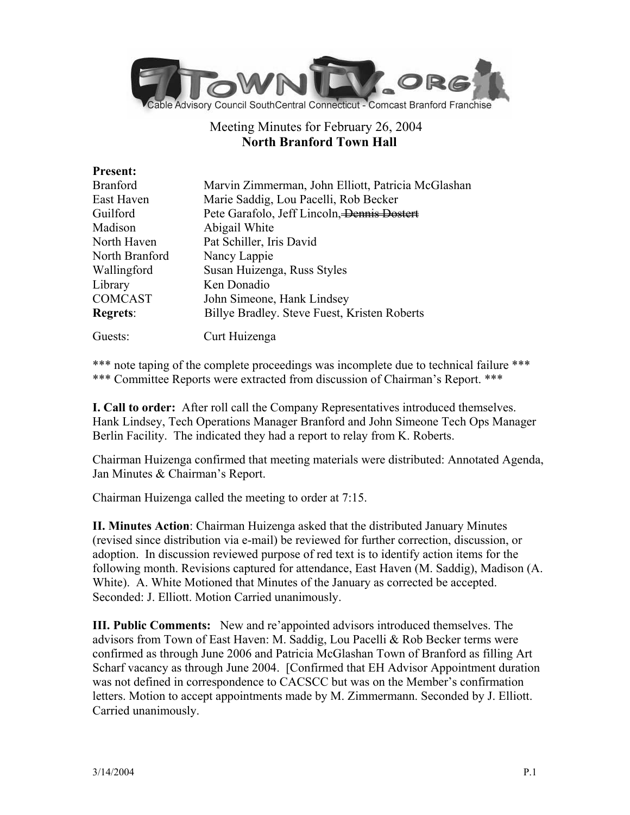

# Meeting Minutes for February 26, 2004 **North Branford Town Hall**

| <b>Present:</b> |                                                    |
|-----------------|----------------------------------------------------|
| <b>Branford</b> | Marvin Zimmerman, John Elliott, Patricia McGlashan |
| East Haven      | Marie Saddig, Lou Pacelli, Rob Becker              |
| Guilford        | Pete Garafolo, Jeff Lincoln, Dennis Dostert        |
| Madison         | Abigail White                                      |
| North Haven     | Pat Schiller, Iris David                           |
| North Branford  | Nancy Lappie                                       |
| Wallingford     | Susan Huizenga, Russ Styles                        |
| Library         | Ken Donadio                                        |
| <b>COMCAST</b>  | John Simeone, Hank Lindsey                         |
| <b>Regrets:</b> | Billye Bradley. Steve Fuest, Kristen Roberts       |
| Guests:         | Curt Huizenga                                      |

\*\*\* note taping of the complete proceedings was incomplete due to technical failure \*\*\* \*\*\* Committee Reports were extracted from discussion of Chairman's Report. \*\*\*

**I. Call to order:** After roll call the Company Representatives introduced themselves. Hank Lindsey, Tech Operations Manager Branford and John Simeone Tech Ops Manager Berlin Facility. The indicated they had a report to relay from K. Roberts.

Chairman Huizenga confirmed that meeting materials were distributed: Annotated Agenda, Jan Minutes & Chairman's Report.

Chairman Huizenga called the meeting to order at 7:15.

**II. Minutes Action**: Chairman Huizenga asked that the distributed January Minutes (revised since distribution via e-mail) be reviewed for further correction, discussion, or adoption. In discussion reviewed purpose of red text is to identify action items for the following month. Revisions captured for attendance, East Haven (M. Saddig), Madison (A. White). A. White Motioned that Minutes of the January as corrected be accepted. Seconded: J. Elliott. Motion Carried unanimously.

**III. Public Comments:** New and re'appointed advisors introduced themselves. The advisors from Town of East Haven: M. Saddig, Lou Pacelli & Rob Becker terms were confirmed as through June 2006 and Patricia McGlashan Town of Branford as filling Art Scharf vacancy as through June 2004. [Confirmed that EH Advisor Appointment duration was not defined in correspondence to CACSCC but was on the Member's confirmation letters. Motion to accept appointments made by M. Zimmermann. Seconded by J. Elliott. Carried unanimously.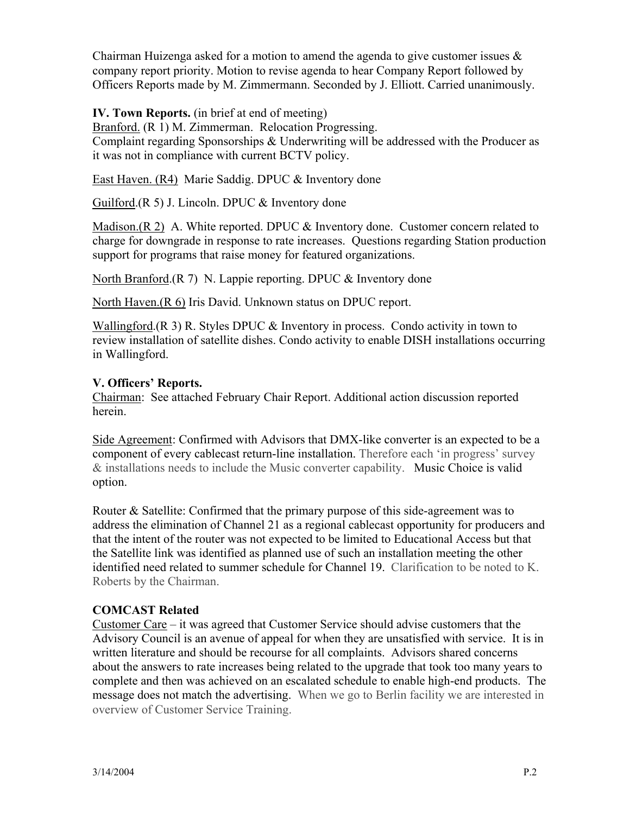Chairman Huizenga asked for a motion to amend the agenda to give customer issues  $\&$ company report priority. Motion to revise agenda to hear Company Report followed by Officers Reports made by M. Zimmermann. Seconded by J. Elliott. Carried unanimously.

## **IV. Town Reports.** (in brief at end of meeting)

Branford. (R 1) M. Zimmerman. Relocation Progressing. Complaint regarding Sponsorships & Underwriting will be addressed with the Producer as it was not in compliance with current BCTV policy.

East Haven. (R4) Marie Saddig. DPUC & Inventory done

Guilford. $(R 5)$  J. Lincoln. DPUC  $&$  Inventory done

Madison.(R 2) A. White reported. DPUC & Inventory done. Customer concern related to charge for downgrade in response to rate increases. Questions regarding Station production support for programs that raise money for featured organizations.

North Branford.(R 7) N. Lappie reporting. DPUC & Inventory done

North Haven.(R 6) Iris David. Unknown status on DPUC report.

Wallingford.(R 3) R. Styles DPUC  $\&$  Inventory in process. Condo activity in town to review installation of satellite dishes. Condo activity to enable DISH installations occurring in Wallingford.

### **V. Officers' Reports.**

Chairman: See attached February Chair Report. Additional action discussion reported herein.

Side Agreement: Confirmed with Advisors that DMX-like converter is an expected to be a component of every cablecast return-line installation. Therefore each 'in progress' survey & installations needs to include the Music converter capability. Music Choice is valid option.

Router & Satellite: Confirmed that the primary purpose of this side-agreement was to address the elimination of Channel 21 as a regional cablecast opportunity for producers and that the intent of the router was not expected to be limited to Educational Access but that the Satellite link was identified as planned use of such an installation meeting the other identified need related to summer schedule for Channel 19. Clarification to be noted to K. Roberts by the Chairman.

### **COMCAST Related**

Customer Care – it was agreed that Customer Service should advise customers that the Advisory Council is an avenue of appeal for when they are unsatisfied with service. It is in written literature and should be recourse for all complaints. Advisors shared concerns about the answers to rate increases being related to the upgrade that took too many years to complete and then was achieved on an escalated schedule to enable high-end products. The message does not match the advertising. When we go to Berlin facility we are interested in overview of Customer Service Training.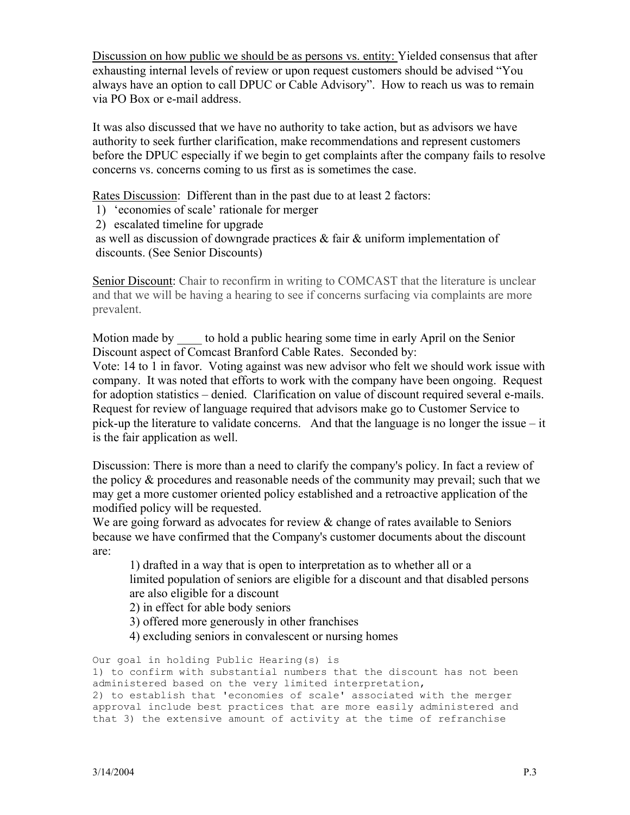Discussion on how public we should be as persons vs. entity: Yielded consensus that after exhausting internal levels of review or upon request customers should be advised "You always have an option to call DPUC or Cable Advisory". How to reach us was to remain via PO Box or e-mail address.

It was also discussed that we have no authority to take action, but as advisors we have authority to seek further clarification, make recommendations and represent customers before the DPUC especially if we begin to get complaints after the company fails to resolve concerns vs. concerns coming to us first as is sometimes the case.

Rates Discussion: Different than in the past due to at least 2 factors:

- 1) 'economies of scale' rationale for merger
- 2) escalated timeline for upgrade

as well as discussion of downgrade practices & fair & uniform implementation of discounts. (See Senior Discounts)

Senior Discount: Chair to reconfirm in writing to COMCAST that the literature is unclear and that we will be having a hearing to see if concerns surfacing via complaints are more prevalent.

Motion made by to hold a public hearing some time in early April on the Senior Discount aspect of Comcast Branford Cable Rates. Seconded by:

Vote: 14 to 1 in favor. Voting against was new advisor who felt we should work issue with company. It was noted that efforts to work with the company have been ongoing. Request for adoption statistics – denied. Clarification on value of discount required several e-mails. Request for review of language required that advisors make go to Customer Service to pick-up the literature to validate concerns. And that the language is no longer the issue – it is the fair application as well.

Discussion: There is more than a need to clarify the company's policy. In fact a review of the policy & procedures and reasonable needs of the community may prevail; such that we may get a more customer oriented policy established and a retroactive application of the modified policy will be requested.

We are going forward as advocates for review & change of rates available to Seniors because we have confirmed that the Company's customer documents about the discount are:

1) drafted in a way that is open to interpretation as to whether all or a limited population of seniors are eligible for a discount and that disabled persons are also eligible for a discount

2) in effect for able body seniors

3) offered more generously in other franchises

4) excluding seniors in convalescent or nursing homes

Our goal in holding Public Hearing(s) is 1) to confirm with substantial numbers that the discount has not been administered based on the very limited interpretation, 2) to establish that 'economies of scale' associated with the merger approval include best practices that are more easily administered and that 3) the extensive amount of activity at the time of refranchise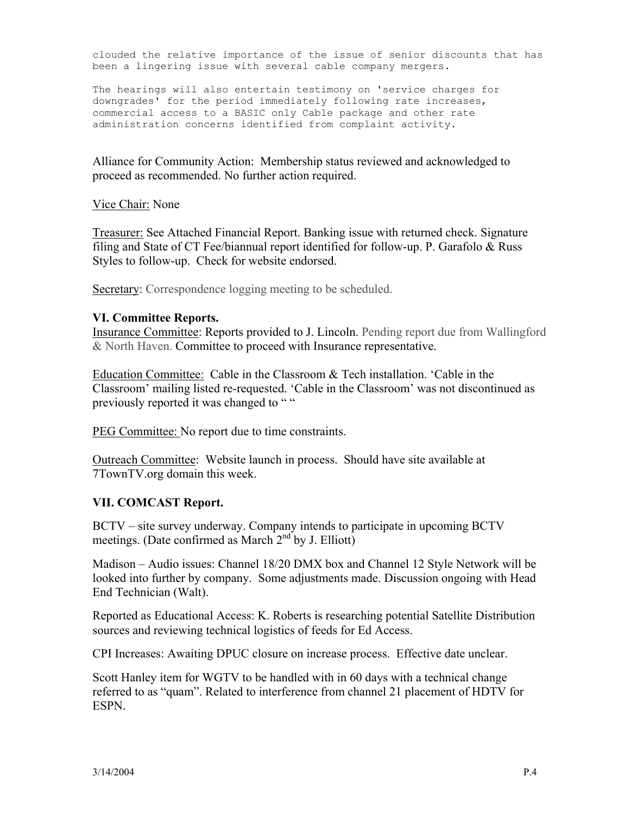clouded the relative importance of the issue of senior discounts that has been a lingering issue with several cable company mergers.

The hearings will also entertain testimony on 'service charges for downgrades' for the period immediately following rate increases, commercial access to a BASIC only Cable package and other rate administration concerns identified from complaint activity.

Alliance for Community Action: Membership status reviewed and acknowledged to proceed as recommended. No further action required.

Vice Chair: None

Treasurer: See Attached Financial Report. Banking issue with returned check. Signature filing and State of CT Fee/biannual report identified for follow-up. P. Garafolo & Russ Styles to follow-up. Check for website endorsed.

Secretary: Correspondence logging meeting to be scheduled.

#### **VI. Committee Reports.**

Insurance Committee: Reports provided to J. Lincoln. Pending report due from Wallingford & North Haven. Committee to proceed with Insurance representative.

Education Committee: Cable in the Classroom & Tech installation. 'Cable in the Classroom' mailing listed re-requested. 'Cable in the Classroom' was not discontinued as previously reported it was changed to ""

PEG Committee: No report due to time constraints.

Outreach Committee: Website launch in process. Should have site available at 7TownTV.org domain this week.

#### **VII. COMCAST Report.**

BCTV – site survey underway. Company intends to participate in upcoming BCTV meetings. (Date confirmed as March  $2<sup>nd</sup>$  by J. Elliott)

Madison – Audio issues: Channel 18/20 DMX box and Channel 12 Style Network will be looked into further by company. Some adjustments made. Discussion ongoing with Head End Technician (Walt).

Reported as Educational Access: K. Roberts is researching potential Satellite Distribution sources and reviewing technical logistics of feeds for Ed Access.

CPI Increases: Awaiting DPUC closure on increase process. Effective date unclear.

Scott Hanley item for WGTV to be handled with in 60 days with a technical change referred to as "quam". Related to interference from channel 21 placement of HDTV for ESPN.